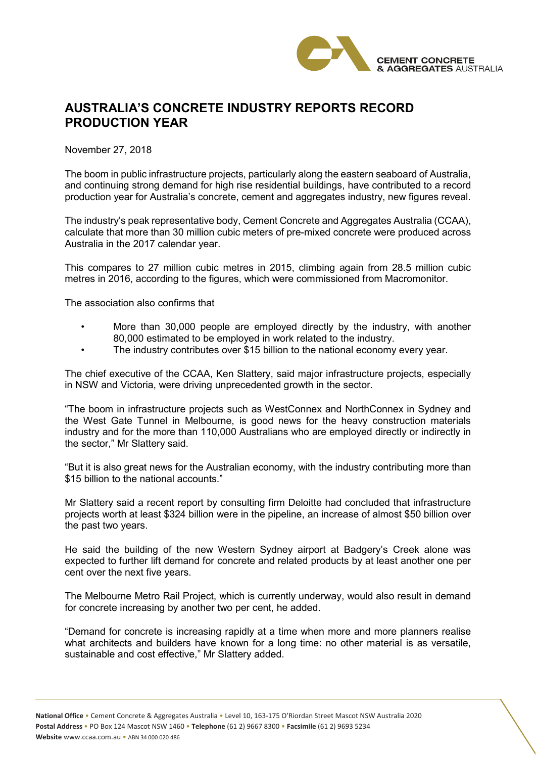

## **AUSTRALIA'S CONCRETE INDUSTRY REPORTS RECORD PRODUCTION YEAR**

November 27, 2018

The boom in public infrastructure projects, particularly along the eastern seaboard of Australia, and continuing strong demand for high rise residential buildings, have contributed to a record production year for Australia's concrete, cement and aggregates industry, new figures reveal.

The industry's peak representative body, Cement Concrete and Aggregates Australia (CCAA), calculate that more than 30 million cubic meters of pre-mixed concrete were produced across Australia in the 2017 calendar year.

This compares to 27 million cubic metres in 2015, climbing again from 28.5 million cubic metres in 2016, according to the figures, which were commissioned from Macromonitor.

The association also confirms that

- More than 30,000 people are employed directly by the industry, with another 80,000 estimated to be employed in work related to the industry.
	- The industry contributes over \$15 billion to the national economy every year.

The chief executive of the CCAA, Ken Slattery, said major infrastructure projects, especially in NSW and Victoria, were driving unprecedented growth in the sector.

"The boom in infrastructure projects such as WestConnex and NorthConnex in Sydney and the West Gate Tunnel in Melbourne, is good news for the heavy construction materials industry and for the more than 110,000 Australians who are employed directly or indirectly in the sector," Mr Slattery said.

"But it is also great news for the Australian economy, with the industry contributing more than \$15 billion to the national accounts."

Mr Slattery said a recent report by consulting firm Deloitte had concluded that infrastructure projects worth at least \$324 billion were in the pipeline, an increase of almost \$50 billion over the past two years.

He said the building of the new Western Sydney airport at Badgery's Creek alone was expected to further lift demand for concrete and related products by at least another one per cent over the next five years.

The Melbourne Metro Rail Project, which is currently underway, would also result in demand for concrete increasing by another two per cent, he added.

"Demand for concrete is increasing rapidly at a time when more and more planners realise what architects and builders have known for a long time: no other material is as versatile, sustainable and cost effective," Mr Slattery added.